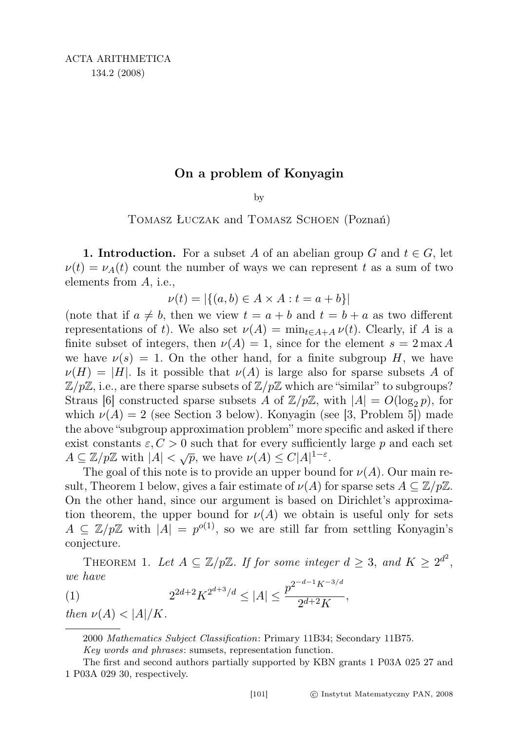## On a problem of Konyagin

by

Tomasz Łuczak and Tomasz Schoen (Poznań)

**1. Introduction.** For a subset A of an abelian group G and  $t \in G$ , let  $\nu(t) = \nu_A(t)$  count the number of ways we can represent t as a sum of two elements from A, i.e.,

$$
\nu(t) = |\{(a, b) \in A \times A : t = a + b\}|
$$

(note that if  $a \neq b$ , then we view  $t = a + b$  and  $t = b + a$  as two different representations of t). We also set  $\nu(A) = \min_{t \in A+A} \nu(t)$ . Clearly, if A is a finite subset of integers, then  $\nu(A) = 1$ , since for the element  $s = 2 \max A$ we have  $\nu(s) = 1$ . On the other hand, for a finite subgroup H, we have  $\nu(H) = |H|$ . Is it possible that  $\nu(A)$  is large also for sparse subsets A of  $\mathbb{Z}/p\mathbb{Z}$ , i.e., are there sparse subsets of  $\mathbb{Z}/p\mathbb{Z}$  which are "similar" to subgroups? Straus [6] constructed sparse subsets A of  $\mathbb{Z}/p\mathbb{Z}$ , with  $|A| = O(\log_2 p)$ , for which  $\nu(A) = 2$  (see Section 3 below). Konyagin (see [3, Problem 5]) made the above "subgroup approximation problem" more specific and asked if there exist constants  $\varepsilon, C > 0$  such that for every sufficiently large p and each set  $A \subseteq \mathbb{Z}/p\mathbb{Z}$  with  $|A| < \sqrt{p}$ , we have  $\nu(A) \le C|A|^{1-\varepsilon}$ .

The goal of this note is to provide an upper bound for  $\nu(A)$ . Our main result, Theorem 1 below, gives a fair estimate of  $\nu(A)$  for sparse sets  $A \subseteq \mathbb{Z}/p\mathbb{Z}$ . On the other hand, since our argument is based on Dirichlet's approximation theorem, the upper bound for  $\nu(A)$  we obtain is useful only for sets  $A \subseteq \mathbb{Z}/p\mathbb{Z}$  with  $|A| = p^{o(1)}$ , so we are still far from settling Konyagin's conjecture.

THEOREM 1. Let  $A \subseteq \mathbb{Z}/p\mathbb{Z}$ . If for some integer  $d \geq 3$ , and  $K \geq 2^{d^2}$ , we have 2−d−1K−3/d

$$
(1) \t2^{2d+2} K^{2^{d+3}/d} \le |A| \le \frac{p^{2^{-a-1}K^{-3/d}}}{2^{d+2}K},
$$

then  $\nu(A) < |A|/K$ .

<sup>2000</sup> Mathematics Subject Classification: Primary 11B34; Secondary 11B75.

Key words and phrases: sumsets, representation function.

The first and second authors partially supported by KBN grants 1 P03A 025 27 and 1 P03A 029 30, respectively.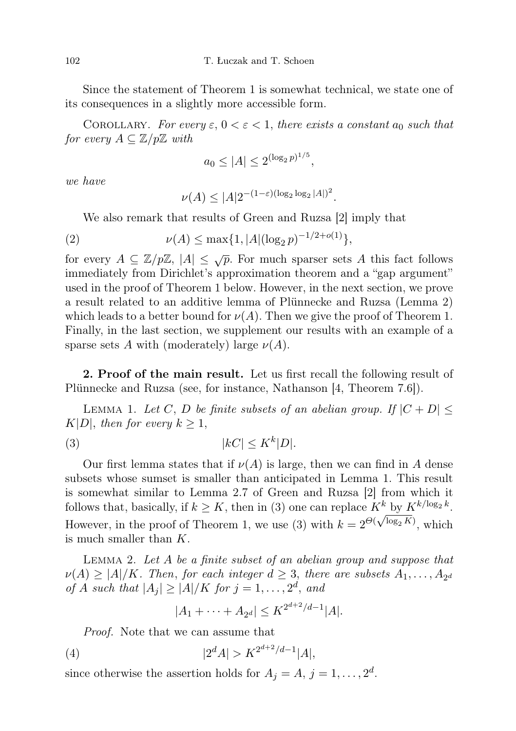Since the statement of Theorem 1 is somewhat technical, we state one of its consequences in a slightly more accessible form.

COROLLARY. For every  $\varepsilon$ ,  $0 < \varepsilon < 1$ , there exists a constant  $a_0$  such that for every  $A \subseteq \mathbb{Z}/p\mathbb{Z}$  with

$$
a_0 \le |A| \le 2^{(\log_2 p)^{1/5}},
$$

we have

$$
\nu(A) \le |A| 2^{-(1-\varepsilon)(\log_2 \log_2 |A|)^2}.
$$

We also remark that results of Green and Ruzsa [2] imply that

(2) 
$$
\nu(A) \le \max\{1, |A|(\log_2 p)^{-1/2 + o(1)}\},
$$

for every  $A \subseteq \mathbb{Z}/p\mathbb{Z}$ ,  $|A| \leq \sqrt{p}$ . For much sparser sets A this fact follows immediately from Dirichlet's approximation theorem and a "gap argument" used in the proof of Theorem 1 below. However, in the next section, we prove a result related to an additive lemma of Plünnecke and Ruzsa (Lemma 2) which leads to a better bound for  $\nu(A)$ . Then we give the proof of Theorem 1. Finally, in the last section, we supplement our results with an example of a sparse sets A with (moderately) large  $\nu(A)$ .

2. Proof of the main result. Let us first recall the following result of Plünnecke and Ruzsa (see, for instance, Nathanson [4, Theorem 7.6]).

LEMMA 1. Let C, D be finite subsets of an abelian group. If  $|C + D| \le$  $K|D|$ , then for every  $k \geq 1$ ,

$$
(3) \t\t\t |kC| \le K^k|D|.
$$

Our first lemma states that if  $\nu(A)$  is large, then we can find in A dense subsets whose sumset is smaller than anticipated in Lemma 1. This result is somewhat similar to Lemma 2.7 of Green and Ruzsa [2] from which it follows that, basically, if  $k \geq K$ , then in (3) one can replace  $K^k$  by  $K^{k/\log_2 k}$ . However, in the proof of Theorem 1, we use (3) with  $k = 2^{\Theta(\sqrt{\log_2 K})}$ , which is much smaller than K.

Lemma 2. Let A be a finite subset of an abelian group and suppose that  $\nu(A) \geq |A|/K$ . Then, for each integer  $d \geq 3$ , there are subsets  $A_1, \ldots, A_{2^d}$ of A such that  $|A_j| \geq |A|/K$  for  $j = 1, \ldots, 2^d$ , and

$$
|A_1 + \cdots + A_{2^d}| \le K^{2^{d+2}/d-1} |A|.
$$

Proof. Note that we can assume that

(4) 
$$
|2^d A| > K^{2^{d+2}/d-1} |A|,
$$

since otherwise the assertion holds for  $A_j = A, j = 1, ..., 2^d$ .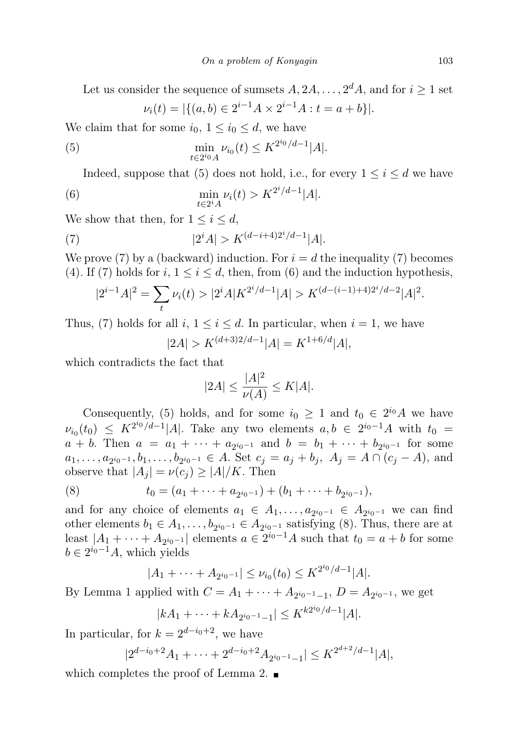Let us consider the sequence of sumsets  $A, 2A, \ldots, 2<sup>d</sup>A$ , and for  $i \ge 1$  set  $\nu_i(t) = |\{(a, b) \in 2^{i-1}A \times 2^{i-1}A : t = a+b\}|.$ 

We claim that for some  $i_0$ ,  $1 \leq i_0 \leq d$ , we have

(5) 
$$
\min_{t \in 2^{i_0} A} \nu_{i_0}(t) \leq K^{2^{i_0}/d - 1} |A|.
$$

Indeed, suppose that (5) does not hold, i.e., for every  $1 \leq i \leq d$  we have

(6) 
$$
\min_{t \in 2^i A} \nu_i(t) > K^{2^i/d - 1}|A|.
$$

We show that then, for  $1 \leq i \leq d$ ,

(7) 
$$
|2^{i} A| > K^{(d-i+4)2^{i}/d-1} |A|.
$$

We prove (7) by a (backward) induction. For  $i = d$  the inequality (7) becomes (4). If (7) holds for i,  $1 \leq i \leq d$ , then, from (6) and the induction hypothesis,

$$
|2^{i-1}A|^2 = \sum_t \nu_i(t) > |2^i A| K^{2^i/d - 1}|A| > K^{(d - (i-1) + 4)2^i/d - 2}|A|^2.
$$

Thus, (7) holds for all  $i, 1 \leq i \leq d$ . In particular, when  $i = 1$ , we have

$$
|2A| > K^{(d+3)2/d-1}|A| = K^{1+6/d}|A|,
$$

which contradicts the fact that

$$
|2A| \le \frac{|A|^2}{\nu(A)} \le K|A|.
$$

Consequently, (5) holds, and for some  $i_0 \geq 1$  and  $t_0 \in 2^{i_0}A$  we have  $\nu_{i_0}(t_0) \leq K^{2^{i_0}/d-1} |A|$ . Take any two elements  $a, b \in 2^{i_0-1}A$  with  $t_0 =$  $a + b$ . Then  $a = a_1 + \cdots + a_{2^{i_0-1}}$  and  $b = b_1 + \cdots + b_{2^{i_0-1}}$  for some  $a_1, \ldots, a_{2^{i_0-1}}, b_1, \ldots, b_{2^{i_0-1}} \in A$ . Set  $c_j = a_j + b_j$ ,  $A_j = A \cap (c_j - A)$ , and observe that  $|A_i| = \nu(c_i) \geq |A|/K$ . Then

(8) 
$$
t_0 = (a_1 + \cdots + a_{2^{i_0-1}}) + (b_1 + \cdots + b_{2^{i_0-1}}),
$$

and for any choice of elements  $a_1 \in A_1, \ldots, a_{2^{i_0-1}} \in A_{2^{i_0-1}}$  we can find other elements  $b_1 \in A_1, \ldots, b_{2^{i_0-1}} \in A_{2^{i_0-1}}$  satisfying (8). Thus, there are at least  $|A_1 + \cdots + A_{2^{i_0-1}}|$  elements  $a \in 2^{i_0-1}A$  such that  $t_0 = a + b$  for some  $b \in 2^{i_0-1}A$ , which yields

$$
|A_1 + \cdots + A_{2^{i_0-1}}| \le \nu_{i_0}(t_0) \le K^{2^{i_0}/d-1}|A|.
$$

By Lemma 1 applied with  $C = A_1 + \cdots + A_{2^{i_0-1}-1}, D = A_{2^{i_0-1}},$  we get

$$
|kA_1 + \dots + kA_{2^{i_0-1}-1}| \le K^{k2^{i_0}/d-1}|A|.
$$

In particular, for  $k = 2^{d-i_0+2}$ , we have

$$
|2^{d-i_0+2}A_1 + \dots + 2^{d-i_0+2}A_{2^{i_0-1}-1}| \le K^{2^{d+2}/d-1}|A|,
$$

which completes the proof of Lemma 2.  $\blacksquare$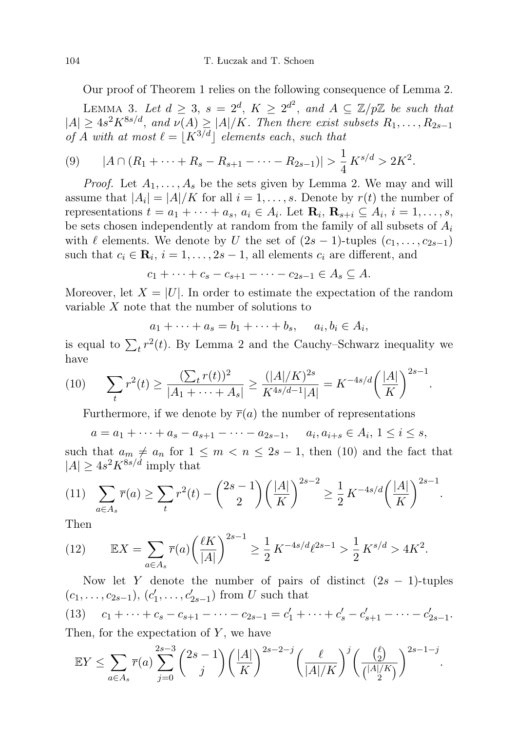Our proof of Theorem 1 relies on the following consequence of Lemma 2.

LEMMA 3. Let  $d \geq 3$ ,  $s = 2^d$ ,  $K \geq 2^{d^2}$ , and  $A \subseteq \mathbb{Z}/p\mathbb{Z}$  be such that  $|A| \geq 4s^2K^{8s/d}$ , and  $\nu(A) \geq |A|/K$ . Then there exist subsets  $R_1, \ldots, R_{2s-1}$ of A with at most  $\ell = |K^{3/d}|$  elements each, such that

$$
(9) \qquad |A \cap (R_1 + \dots + R_s - R_{s+1} - \dots - R_{2s-1})| > \frac{1}{4} K^{s/d} > 2K^2.
$$

*Proof.* Let  $A_1, \ldots, A_s$  be the sets given by Lemma 2. We may and will assume that  $|A_i| = |A|/K$  for all  $i = 1, \ldots, s$ . Denote by  $r(t)$  the number of representations  $t = a_1 + \cdots + a_s$ ,  $a_i \in A_i$ . Let  $\mathbf{R}_i$ ,  $\mathbf{R}_{s+i} \subseteq A_i$ ,  $i = 1, \ldots, s$ , be sets chosen independently at random from the family of all subsets of  $A_i$ with  $\ell$  elements. We denote by U the set of  $(2s - 1)$ -tuples  $(c_1, \ldots, c_{2s-1})$ such that  $c_i \in \mathbf{R}_i$ ,  $i = 1, ..., 2s - 1$ , all elements  $c_i$  are different, and

$$
c_1 + \cdots + c_s - c_{s+1} - \cdots - c_{2s-1} \in A_s \subseteq A.
$$

Moreover, let  $X = |U|$ . In order to estimate the expectation of the random variable X note that the number of solutions to

$$
a_1 + \dots + a_s = b_1 + \dots + b_s, \quad a_i, b_i \in A_i,
$$

is equal to  $\sum_t r^2(t)$ . By Lemma 2 and the Cauchy–Schwarz inequality we have

(10) 
$$
\sum_{t} r^{2}(t) \geq \frac{(\sum_{t} r(t))^{2}}{|A_{1} + \dots + A_{s}|} \geq \frac{(|A|/K)^{2s}}{K^{4s/d-1}|A|} = K^{-4s/d} \left(\frac{|A|}{K}\right)^{2s-1}.
$$

Furthermore, if we denote by  $\overline{r}(a)$  the number of representations

$$
a = a_1 + \dots + a_s - a_{s+1} - \dots - a_{2s-1}, \quad a_i, a_{i+s} \in A_i, 1 \le i \le s,
$$

such that  $a_m \neq a_n$  for  $1 \leq m < n \leq 2s - 1$ , then (10) and the fact that  $|A| \geq 4s^2 K^{8s/d}$  imply that

$$
(11) \quad \sum_{a \in A_s} \overline{r}(a) \ge \sum_t r^2(t) - \binom{2s-1}{2} \left(\frac{|A|}{K}\right)^{2s-2} \ge \frac{1}{2} K^{-4s/d} \left(\frac{|A|}{K}\right)^{2s-1}.
$$

Then

(12) 
$$
\mathbb{E}X = \sum_{a \in A_s} \overline{r}(a) \left(\frac{\ell K}{|A|}\right)^{2s-1} \ge \frac{1}{2} K^{-4s/d} \ell^{2s-1} > \frac{1}{2} K^{s/d} > 4K^2.
$$

Now let Y denote the number of pairs of distinct  $(2s - 1)$ -tuples  $(c_1, \ldots, c_{2s-1}), (c'_1, \ldots, c'_{2s-1})$  from U such that (13)  $c_1 + \cdots + c_s - c_{s+1} - \cdots - c_{2s-1} = c'_1 + \cdots + c'_s - c'_{s+1} - \cdots - c'_{2s-1}.$ Then, for the expectation of  $Y$ , we have

$$
\mathbb{E}Y \le \sum_{a \in A_s} \overline{r}(a) \sum_{j=0}^{2s-3} \binom{2s-1}{j} \left(\frac{|A|}{K}\right)^{2s-2-j} \left(\frac{\ell}{|A|/K}\right)^j \left(\frac{\binom{\ell}{2}}{\binom{|A|/K}{2}}\right)^{2s-1-j}.
$$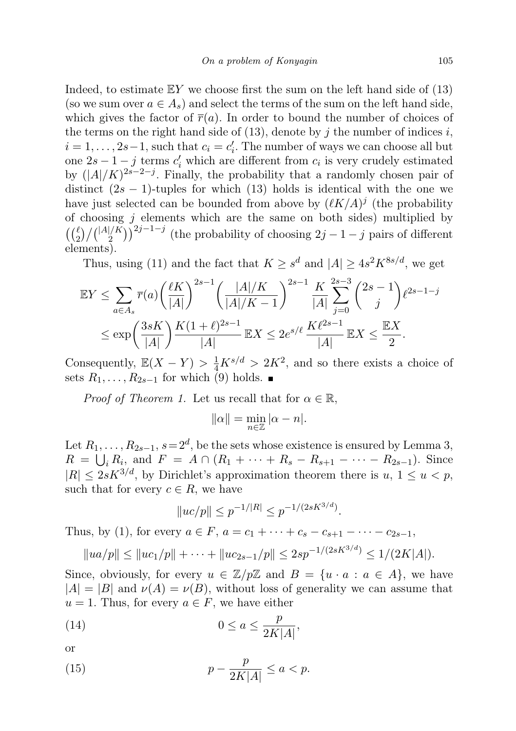Indeed, to estimate  $EY$  we choose first the sum on the left hand side of (13) (so we sum over  $a \in A_s$ ) and select the terms of the sum on the left hand side, which gives the factor of  $\bar{r}(a)$ . In order to bound the number of choices of the terms on the right hand side of  $(13)$ , denote by j the number of indices i,  $i = 1, \ldots, 2s-1$ , such that  $c_i = c'_i$ . The number of ways we can choose all but one  $2s - 1 - j$  terms  $c'_i$  which are different from  $c_i$  is very crudely estimated by  $(|A|/K)^{2s-2-j}$ . Finally, the probability that a randomly chosen pair of distinct  $(2s - 1)$ -tuples for which (13) holds is identical with the one we have just selected can be bounded from above by  $(\ell K/A)^j$  (the probability of choosing  $j$  elements which are the same on both sides) multiplied by  $\left(\binom{\ell}{2}\big/\binom{|A|/K}{2}\right)^{2j-1-j}$  (the probability of choosing  $2j-1-j$  pairs of different elements).

Thus, using (11) and the fact that  $K \geq s^d$  and  $|A| \geq 4s^2 K^{8s/d}$ , we get

$$
\mathbb{E}Y \leq \sum_{a \in A_s} \overline{r}(a) \left(\frac{\ell K}{|A|}\right)^{2s-1} \left(\frac{|A|/K}{|A|/K-1}\right)^{2s-1} \frac{K}{|A|} \sum_{j=0}^{2s-3} {2s-1 \choose j} \ell^{2s-1-j}
$$
  

$$
\leq \exp\left(\frac{3sK}{|A|}\right) \frac{K(1+\ell)^{2s-1}}{|A|} \mathbb{E}X \leq 2e^{s/\ell} \frac{K\ell^{2s-1}}{|A|} \mathbb{E}X \leq \frac{\mathbb{E}X}{2}.
$$

Consequently,  $\mathbb{E}(X-Y) > \frac{1}{4}K^{s/d} > 2K^2$ , and so there exists a choice of sets  $R_1, \ldots, R_{2s-1}$  for which (9) holds. ■

*Proof of Theorem 1.* Let us recall that for  $\alpha \in \mathbb{R}$ ,

$$
\|\alpha\| = \min_{n \in \mathbb{Z}} |\alpha - n|.
$$

Let  $R_1, \ldots, R_{2s-1}, s = 2^d$ , be the sets whose existence is ensured by Lemma 3,  $R = \bigcup_i R_i$ , and  $F = A \cap (R_1 + \cdots + R_s - R_{s+1} - \cdots - R_{2s-1})$ . Since  $|R| \leq 2sK^{3/d}$ , by Dirichlet's approximation theorem there is  $u, 1 \leq u \leq p$ , such that for every  $c \in R$ , we have

$$
||uc/p|| \le p^{-1/|R|} \le p^{-1/(2sK^{3/d})}.
$$

Thus, by (1), for every  $a \in F$ ,  $a = c_1 + \cdots + c_s - c_{s+1} - \cdots - c_{2s-1}$ ,

$$
||ua/p|| \le ||uc_1/p|| + \cdots + ||uc_{2s-1}/p|| \le 2sp^{-1/(2sK^{3/d})} \le 1/(2K|A|).
$$

Since, obviously, for every  $u \in \mathbb{Z}/p\mathbb{Z}$  and  $B = \{u \cdot a : a \in A\}$ , we have  $|A| = |B|$  and  $\nu(A) = \nu(B)$ , without loss of generality we can assume that  $u = 1$ . Thus, for every  $a \in F$ , we have either

(14) 
$$
0 \le a \le \frac{p}{2K|A|},
$$

or

(15) 
$$
p - \frac{p}{2K|A|} \le a < p.
$$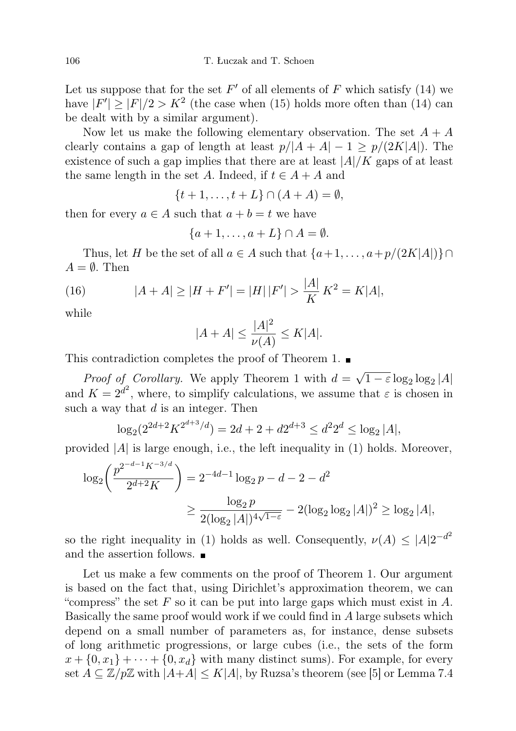Let us suppose that for the set  $F'$  of all elements of F which satisfy (14) we have  $|F'| \geq |F|/2 > K^2$  (the case when (15) holds more often than (14) can be dealt with by a similar argument).

Now let us make the following elementary observation. The set  $A + A$ clearly contains a gap of length at least  $p/|A + A| - 1 \ge p/(2K|A|)$ . The existence of such a gap implies that there are at least  $|A|/K$  gaps of at least the same length in the set A. Indeed, if  $t \in A + A$  and

 $\{t+1,\ldots,t+L\}\cap (A+A)=\emptyset,$ 

then for every  $a \in A$  such that  $a + b = t$  we have

$$
\{a+1,\ldots,a+L\}\cap A=\emptyset.
$$

Thus, let H be the set of all  $a \in A$  such that  $\{a+1, \ldots, a+p/(2K|A|)\} \cap$  $A = \emptyset$ . Then

(16) 
$$
|A + A| \ge |H + F'| = |H| |F'| > \frac{|A|}{K} K^2 = K|A|,
$$

while

$$
|A + A| \le \frac{|A|^2}{\nu(A)} \le K|A|.
$$

This contradiction completes the proof of Theorem 1.  $\blacksquare$ 

*Proof of Corollary.* We apply Theorem 1 with  $d =$ √  $1 - \varepsilon \log_2 \log_2 |A|$ and  $K = 2^{d^2}$ , where, to simplify calculations, we assume that  $\varepsilon$  is chosen in such a way that  $d$  is an integer. Then

$$
\log_2(2^{2d+2}K^{2^{d+3}/d}) = 2d + 2 + d2^{d+3} \le d^2 2^d \le \log_2 |A|,
$$

provided  $|A|$  is large enough, i.e., the left inequality in (1) holds. Moreover,

$$
\log_2\left(\frac{p^{2^{-d-1}K^{-3/d}}}{2^{d+2}K}\right) = 2^{-4d-1}\log_2 p - d - 2 - d^2
$$

$$
\geq \frac{\log_2 p}{2(\log_2 |A|)^{4\sqrt{1-\varepsilon}}} - 2(\log_2 \log_2 |A|)^2 \geq \log_2 |A|,
$$

so the right inequality in (1) holds as well. Consequently,  $\nu(A) \leq |A|2^{-d^2}$ and the assertion follows.

Let us make a few comments on the proof of Theorem 1. Our argument is based on the fact that, using Dirichlet's approximation theorem, we can "compress" the set  $F$  so it can be put into large gaps which must exist in  $A$ . Basically the same proof would work if we could find in A large subsets which depend on a small number of parameters as, for instance, dense subsets of long arithmetic progressions, or large cubes (i.e., the sets of the form  $x + \{0, x_1\} + \cdots + \{0, x_d\}$  with many distinct sums). For example, for every set  $A \subseteq \mathbb{Z}/p\mathbb{Z}$  with  $|A+A| \leq K|A|$ , by Ruzsa's theorem (see [5] or Lemma 7.4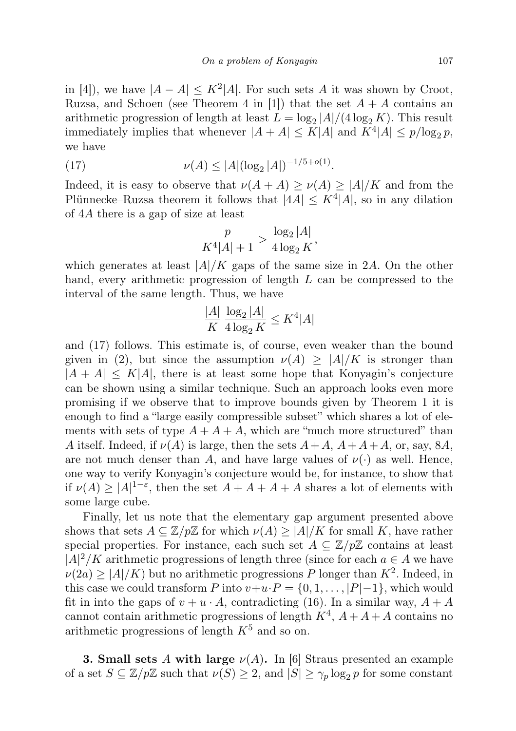in [4]), we have  $|A - A| \leq K^2 |A|$ . For such sets A it was shown by Croot, Ruzsa, and Schoen (see Theorem 4 in [1]) that the set  $A + A$  contains an arithmetic progression of length at least  $L = \log_2 |A|/(4 \log_2 K)$ . This result immediately implies that whenever  $|A + A| \leq K|A|$  and  $K^4|A| \leq p/\log_2 p$ , we have

(17) 
$$
\nu(A) \le |A| (\log_2 |A|)^{-1/5 + o(1)}.
$$

Indeed, it is easy to observe that  $\nu(A + A) \ge \nu(A) \ge |A|/K$  and from the Plünnecke–Ruzsa theorem it follows that  $|4A| \leq K^4 |A|$ , so in any dilation of 4A there is a gap of size at least

$$
\frac{p}{K^4|A|+1} > \frac{\log_2|A|}{4\log_2 K},
$$

which generates at least  $|A|/K$  gaps of the same size in 2A. On the other hand, every arithmetic progression of length L can be compressed to the interval of the same length. Thus, we have

$$
\frac{|A|}{K} \frac{\log_2 |A|}{4 \log_2 K} \le K^4 |A|
$$

and (17) follows. This estimate is, of course, even weaker than the bound given in (2), but since the assumption  $\nu(A) \geq |A|/K$  is stronger than  $|A + A| \leq K|A|$ , there is at least some hope that Konyagin's conjecture can be shown using a similar technique. Such an approach looks even more promising if we observe that to improve bounds given by Theorem 1 it is enough to find a "large easily compressible subset" which shares a lot of elements with sets of type  $A + A + A$ , which are "much more structured" than A itself. Indeed, if  $\nu(A)$  is large, then the sets  $A+A$ ,  $A+A+A$ , or, say, 8A, are not much denser than A, and have large values of  $\nu(\cdot)$  as well. Hence, one way to verify Konyagin's conjecture would be, for instance, to show that if  $\nu(A) \geq |A|^{1-\varepsilon}$ , then the set  $A + A + A + A$  shares a lot of elements with some large cube.

Finally, let us note that the elementary gap argument presented above shows that sets  $A \subseteq \mathbb{Z}/p\mathbb{Z}$  for which  $\nu(A) \geq |A|/K$  for small K, have rather special properties. For instance, each such set  $A \subseteq \mathbb{Z}/p\mathbb{Z}$  contains at least  $|A|^2/K$  arithmetic progressions of length three (since for each  $a \in A$  we have  $\nu(2a) \geq |A|/K$  but no arithmetic progressions P longer than  $K^2$ . Indeed, in this case we could transform P into  $v+u\cdot P = \{0, 1, \ldots, |P|-1\}$ , which would fit in into the gaps of  $v + u \cdot A$ , contradicting (16). In a similar way,  $A + A$ cannot contain arithmetic progressions of length  $K^4$ ,  $A + A + A$  contains no arithmetic progressions of length  $K^5$  and so on.

**3. Small sets A with large**  $\nu(A)$ . In [6] Straus presented an example of a set  $S \subseteq \mathbb{Z}/p\mathbb{Z}$  such that  $\nu(S) \geq 2$ , and  $|S| \geq \gamma_p \log_2 p$  for some constant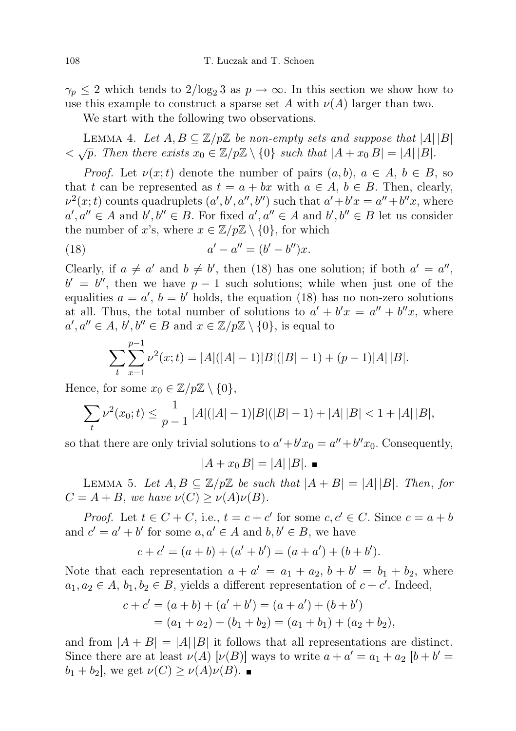$\gamma_p \leq 2$  which tends to  $2/\log_2 3$  as  $p \to \infty$ . In this section we show how to use this example to construct a sparse set A with  $\nu(A)$  larger than two.

We start with the following two observations.

LEMMA 4. Let  $A, B \subseteq \mathbb{Z}/p\mathbb{Z}$  be non-empty sets and suppose that  $|A||B|$  $\langle \sqrt{p} \rangle$ . Then there exists  $x_0 \in \mathbb{Z}/p\mathbb{Z} \setminus \{0\}$  such that  $|A + x_0B| = |A||B|$ .

*Proof.* Let  $\nu(x;t)$  denote the number of pairs  $(a, b)$ ,  $a \in A$ ,  $b \in B$ , so that t can be represented as  $t = a + bx$  with  $a \in A$ ,  $b \in B$ . Then, clearly,  $\nu^2(x;t)$  counts quadruplets  $(a',b',a'',b'')$  such that  $a'+b'x=a''+b''x$ , where  $a', a'' \in A$  and  $b', b'' \in B$ . For fixed  $a', a'' \in A$  and  $b', b'' \in B$  let us consider the number of x's, where  $x \in \mathbb{Z}/p\mathbb{Z} \setminus \{0\}$ , for which

(18) 
$$
a' - a'' = (b' - b'')x.
$$

Clearly, if  $a \neq a'$  and  $b \neq b'$ , then (18) has one solution; if both  $a' = a''$ ,  $b' = b''$ , then we have  $p - 1$  such solutions; while when just one of the equalities  $a = a'$ ,  $b = b'$  holds, the equation (18) has no non-zero solutions at all. Thus, the total number of solutions to  $a' + b'x = a'' + b''x$ , where  $a', a'' \in A, b', b'' \in B \text{ and } x \in \mathbb{Z}/p\mathbb{Z} \setminus \{0\}, \text{ is equal to}$ 

$$
\sum_{t} \sum_{x=1}^{p-1} \nu^{2}(x;t) = |A|(|A|-1)|B|(|B|-1) + (p-1)|A||B|.
$$

Hence, for some  $x_0 \in \mathbb{Z}/p\mathbb{Z} \setminus \{0\},\$ 

$$
\sum_{t} \nu^{2}(x_{0}; t) \le \frac{1}{p-1} |A|(|A|-1)|B|(|B|-1) + |A||B| < 1 + |A||B|,
$$

so that there are only trivial solutions to  $a' + b'x_0 = a'' + b''x_0$ . Consequently,

 $|A + x_0 B| = |A||B|.$ 

LEMMA 5. Let  $A, B \subseteq \mathbb{Z}/p\mathbb{Z}$  be such that  $|A + B| = |A||B|$ . Then, for  $C = A + B$ , we have  $\nu(C) \ge \nu(A)\nu(B)$ .

*Proof.* Let  $t \in C + C$ , i.e.,  $t = c + c'$  for some  $c, c' \in C$ . Since  $c = a + b$ and  $c' = a' + b'$  for some  $a, a' \in A$  and  $b, b' \in B$ , we have

$$
c + c' = (a + b) + (a' + b') = (a + a') + (b + b').
$$

Note that each representation  $a + a' = a_1 + a_2$ ,  $b + b' = b_1 + b_2$ , where  $a_1, a_2 \in A, b_1, b_2 \in B$ , yields a different representation of  $c + c'$ . Indeed,

$$
c + c' = (a + b) + (a' + b') = (a + a') + (b + b')
$$
  
= (a<sub>1</sub> + a<sub>2</sub>) + (b<sub>1</sub> + b<sub>2</sub>) = (a<sub>1</sub> + b<sub>1</sub>) + (a<sub>2</sub> + b<sub>2</sub>),

and from  $|A + B| = |A||B|$  it follows that all representations are distinct. Since there are at least  $\nu(A)$   $[\nu(B)]$  ways to write  $a + a' = a_1 + a_2$   $[b + b' = b']$  $b_1 + b_2$ , we get  $\nu(C) \ge \nu(A)\nu(B)$ .